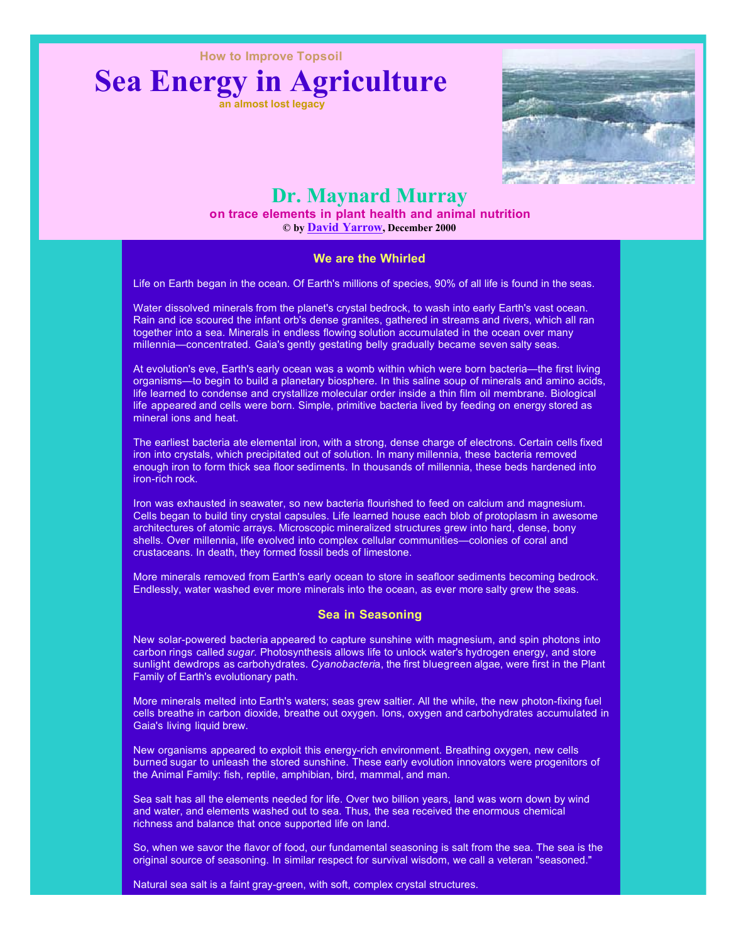**How to Improve Topsoil**





# **Dr. Maynard Murray**

**© by David Yarrow, December 2000 on trace elements in plant health and animal nutrition**

#### **We are the Whirled**

Life on Earth began in the ocean. Of Earth's millions of species, 90% of all life is found in the seas.

Water dissolved minerals from the planet's crystal bedrock, to wash into early Earth's vast ocean. Rain and ice scoured the infant orb's dense granites, gathered in streams and rivers, which all ran together into a sea. Minerals in endless flowing solution accumulated in the ocean over many millennia—concentrated. Gaia's gently gestating belly gradually became seven salty seas.

At evolution's eve, Earth's early ocean was a womb within which were born bacteria—the first living organisms—to begin to build a planetary biosphere. In this saline soup of minerals and amino acids, life learned to condense and crystallize molecular order inside a thin film oil membrane. Biological life appeared and cells were born. Simple, primitive bacteria lived by feeding on energy stored as mineral ions and heat.

The earliest bacteria ate elemental iron, with a strong, dense charge of electrons. Certain cells fixed iron into crystals, which precipitated out of solution. In many millennia, these bacteria removed enough iron to form thick sea floor sediments. In thousands of millennia, these beds hardened into iron-rich rock.

Iron was exhausted in seawater, so new bacteria flourished to feed on calcium and magnesium. Cells began to build tiny crystal capsules. Life learned house each blob of protoplasm in awesome architectures of atomic arrays. Microscopic mineralized structures grew into hard, dense, bony shells. Over millennia, life evolved into complex cellular communities—colonies of coral and crustaceans. In death, they formed fossil beds of limestone.

More minerals removed from Earth's early ocean to store in seafloor sediments becoming bedrock. Endlessly, water washed ever more minerals into the ocean, as ever more salty grew the seas.

#### **Sea in Seasoning**

New solar-powered bacteria appeared to capture sunshine with magnesium, and spin photons into carbon rings called *sugar*. Photosynthesis allows life to unlock water's hydrogen energy, and store sunlight dewdrops as carbohydrates. Cyanobacteria, the first bluegreen algae, were first in the Plant Family of Earth's evolutionary path.

More minerals melted into Earth's waters; seas grew saltier. All the while, the new photon-fixing fuel cells breathe in carbon dioxide, breathe out oxygen. Ions, oxygen and carbohydrates accumulated in Gaia's living liquid brew.

New organisms appeared to exploit this energy-rich environment. Breathing oxygen, new cells burned sugar to unleash the stored sunshine. These early evolution innovators were progenitors of the Animal Family: fish, reptile, amphibian, bird, mammal, and man.

Sea salt has all the elements needed for life. Over two billion years, land was worn down by wind and water, and elements washed out to sea. Thus, the sea received the enormous chemical richness and balance that once supported life on land.

So, when we savor the flavor of food, our fundamental seasoning is salt from the sea. The sea is the original source of seasoning. In similar respect for survival wisdom, we call a veteran "seasoned."

Natural sea salt is a faint gray-green, with soft, complex crystal structures.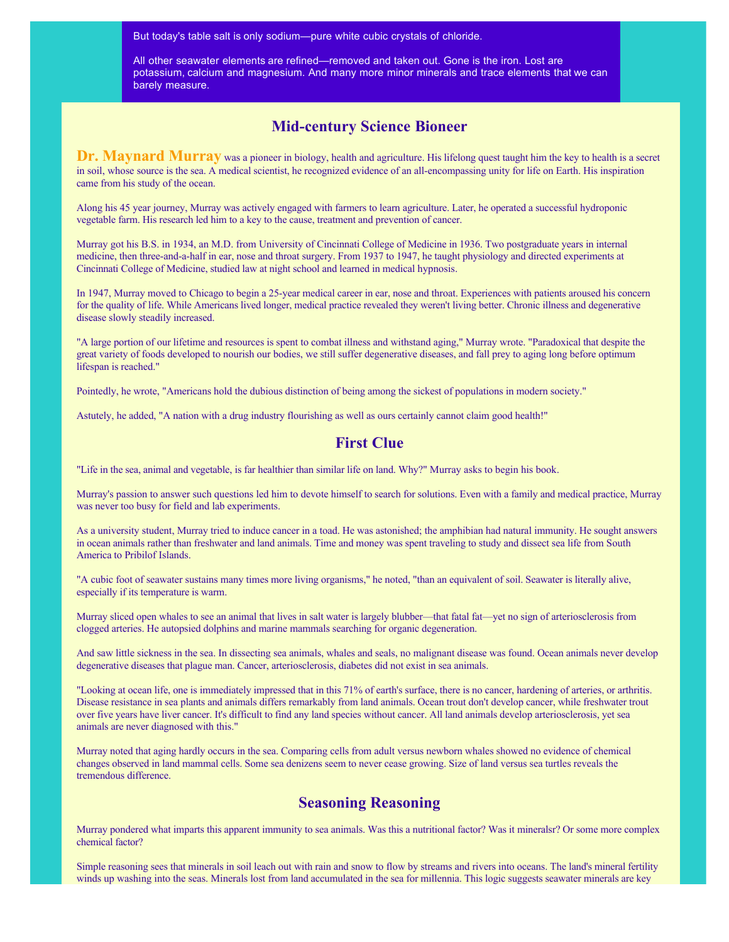But today's table salt is only sodium—pure white cubic crystals of chloride.

All other seawater elements are refined—removed and taken out. Gone is the iron. Lost are potassium, calcium and magnesium. And many more minor minerals and trace elements that we can barely measure.

## **Mid-century Science Bioneer**

**Dr. Maynard Murray** was a pioneer in biology, health and agriculture. His lifelong quest taught him the key to health is a secret in soil, whose source is the sea. A medical scientist, he recognized evidence of an all-encompassing unity for life on Earth. His inspiration came from his study of the ocean.

Along his 45 year journey, Murray was actively engaged with farmers to learn agriculture. Later, he operated a successful hydroponic vegetable farm. His research led him to a key to the cause, treatment and prevention of cancer.

Murray got his B.S. in 1934, an M.D. from University of Cincinnati College of Medicine in 1936. Two postgraduate years in internal medicine, then three-and-a-half in ear, nose and throat surgery. From 1937 to 1947, he taught physiology and directed experiments at Cincinnati College of Medicine, studied law at night school and learned in medical hypnosis.

In 1947, Murray moved to Chicago to begin a 25-year medical career in ear, nose and throat. Experiences with patients aroused his concern for the quality of life. While Americans lived longer, medical practice revealed they weren't living better. Chronic illness and degenerative disease slowly steadily increased.

"A large portion of our lifetime and resources is spent to combat illness and withstand aging," Murray wrote. "Paradoxical that despite the great variety of foods developed to nourish our bodies, we still suffer degenerative diseases, and fall prey to aging long before optimum lifespan is reached."

Pointedly, he wrote, "Americans hold the dubious distinction of being among the sickest of populations in modern society."

Astutely, he added, "A nation with a drug industry flourishing as well as ours certainly cannot claim good health!"

#### **First Clue**

"Life in the sea, animal and vegetable, is far healthier than similar life on land. Why?" Murray asks to begin his book.

Murray's passion to answer such questions led him to devote himself to search for solutions. Even with a family and medical practice, Murray was never too busy for field and lab experiments.

As a university student, Murray tried to induce cancer in a toad. He was astonished; the amphibian had natural immunity. He sought answers in ocean animals rather than freshwater and land animals. Time and money was spent traveling to study and dissect sea life from South America to Pribilof Islands.

"A cubic foot of seawater sustains many times more living organisms," he noted, "than an equivalent of soil. Seawater is literally alive, especially if its temperature is warm.

Murray sliced open whales to see an animal that lives in salt water is largely blubber—that fatal fat—yet no sign of arteriosclerosis from clogged arteries. He autopsied dolphins and marine mammals searching for organic degeneration.

And saw little sickness in the sea. In dissecting sea animals, whales and seals, no malignant disease was found. Ocean animals never develop degenerative diseases that plague man. Cancer, arteriosclerosis, diabetes did not exist in sea animals.

"Looking at ocean life, one is immediately impressed that in this 71% of earth's surface, there is no cancer, hardening of arteries, or arthritis. Disease resistance in sea plants and animals differs remarkably from land animals. Ocean trout don't develop cancer, while freshwater trout over five years have liver cancer. It's difficult to find any land species without cancer. All land animals develop arteriosclerosis, yet sea animals are never diagnosed with this."

Murray noted that aging hardly occurs in the sea. Comparing cells from adult versus newborn whales showed no evidence of chemical changes observed in land mammal cells. Some sea denizens seem to never cease growing. Size of land versus sea turtles reveals the tremendous difference.

### **Seasoning Reasoning**

Murray pondered what imparts this apparent immunity to sea animals. Was this a nutritional factor? Was it mineralsr? Or some more complex chemical factor?

Simple reasoning sees that minerals in soil leach out with rain and snow to flow by streams and rivers into oceans. The land's mineral fertility winds up washing into the seas. Minerals lost from land accumulated in the sea for millennia. This logic suggests seawater minerals are key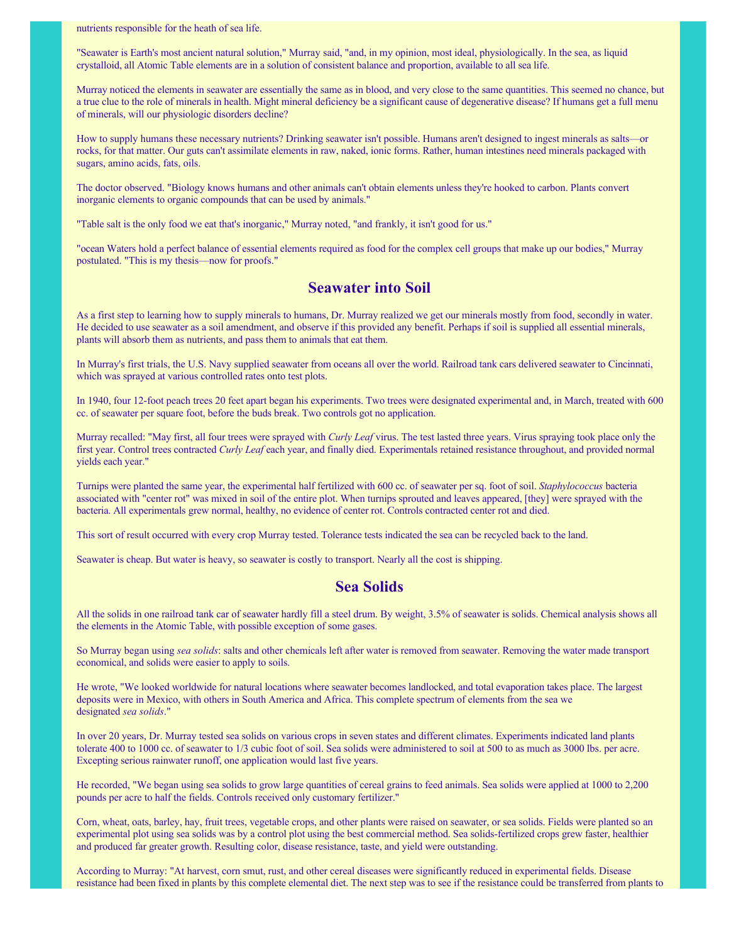nutrients responsible for the heath of sea life.

"Seawater is Earth's most ancient natural solution," Murray said, "and, in my opinion, most ideal, physiologically. In the sea, as liquid crystalloid, all Atomic Table elements are in a solution of consistent balance and proportion, available to all sea life.

Murray noticed the elements in seawater are essentially the same as in blood, and very close to the same quantities. This seemed no chance, but a true clue to the role of minerals in health. Might mineral deficiency be a significant cause of degenerative disease? If humans get a full menu of minerals, will our physiologic disorders decline?

How to supply humans these necessary nutrients? Drinking seawater isn't possible. Humans aren't designed to ingest minerals as salts—or rocks, for that matter. Our guts can't assimilate elements in raw, naked, ionic forms. Rather, human intestines need minerals packaged with sugars, amino acids, fats, oils.

The doctor observed. "Biology knows humans and other animals can't obtain elements unless they're hooked to carbon. Plants convert inorganic elements to organic compounds that can be used by animals."

"Table salt is the only food we eat that's inorganic," Murray noted, "and frankly, it isn't good for us."

"ocean Waters hold a perfect balance of essential elements required as food for the complex cell groups that make up our bodies," Murray postulated. "This is my thesis—now for proofs."

#### **Seawater into Soil**

As a first step to learning how to supply minerals to humans, Dr. Murray realized we get our minerals mostly from food, secondly in water. He decided to use seawater as a soil amendment, and observe if this provided any benefit. Perhaps if soil is supplied all essential minerals, plants will absorb them as nutrients, and pass them to animals that eat them.

In Murray's first trials, the U.S. Navy supplied seawater from oceans all over the world. Railroad tank cars delivered seawater to Cincinnati, which was sprayed at various controlled rates onto test plots.

In 1940, four 12-foot peach trees 20 feet apart began his experiments. Two trees were designated experimental and, in March, treated with 600 cc. of seawater per square foot, before the buds break. Two controls got no application.

Murray recalled: "May first, all four trees were sprayed with *Curly Leaf* virus. The test lasted three years. Virus spraying took place only the first year. Control trees contracted Curly Leaf each year, and finally died. Experimentals retained resistance throughout, and provided normal yields each year."

Turnips were planted the same year, the experimental half fertilized with 600 cc. of seawater per sq. foot of soil. Staphylococcus bacteria associated with "center rot" was mixed in soil of the entire plot. When turnips sprouted and leaves appeared, [they] were sprayed with the bacteria. All experimentals grew normal, healthy, no evidence of center rot. Controls contracted center rot and died.

This sort of result occurred with every crop Murray tested. Tolerance tests indicated the sea can be recycled back to the land.

Seawater is cheap. But water is heavy, so seawater is costly to transport. Nearly all the cost is shipping.

#### **Sea Solids**

All the solids in one railroad tank car of seawater hardly fill a steel drum. By weight, 3.5% of seawater is solids. Chemical analysis shows all the elements in the Atomic Table, with possible exception of some gases.

So Murray began using sea solids: salts and other chemicals left after water is removed from seawater. Removing the water made transport economical, and solids were easier to apply to soils.

He wrote, "We looked worldwide for natural locations where seawater becomes landlocked, and total evaporation takes place. The largest deposits were in Mexico, with others in South America and Africa. This complete spectrum of elements from the sea we designated *sea solids*."

In over 20 years, Dr. Murray tested sea solids on various crops in seven states and different climates. Experiments indicated land plants tolerate 400 to 1000 cc. of seawater to 1/3 cubic foot of soil. Sea solids were administered to soil at 500 to as much as 3000 lbs. per acre. Excepting serious rainwater runoff, one application would last five years.

He recorded, "We began using sea solids to grow large quantities of cereal grains to feed animals. Sea solids were applied at 1000 to 2,200 pounds per acre to half the fields. Controls received only customary fertilizer."

Corn, wheat, oats, barley, hay, fruit trees, vegetable crops, and other plants were raised on seawater, or sea solids. Fields were planted so an experimental plot using sea solids was by a control plot using the best commercial method. Sea solids-fertilized crops grew faster, healthier and produced far greater growth. Resulting color, disease resistance, taste, and yield were outstanding.

According to Murray: "At harvest, corn smut, rust, and other cereal diseases were significantly reduced in experimental fields. Disease resistance had been fixed in plants by this complete elemental diet. The next step was to see if the resistance could be transferred from plants to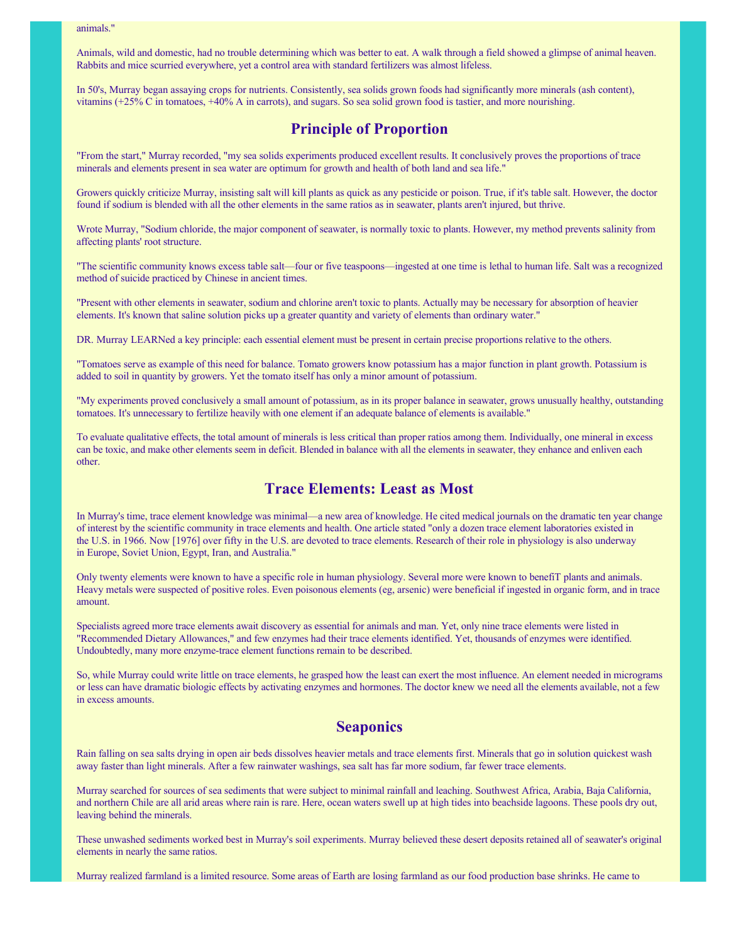Animals, wild and domestic, had no trouble determining which was better to eat. A walk through a field showed a glimpse of animal heaven. Rabbits and mice scurried everywhere, yet a control area with standard fertilizers was almost lifeless.

In 50's, Murray began assaying crops for nutrients. Consistently, sea solids grown foods had significantly more minerals (ash content), vitamins (+25% C in tomatoes, +40% A in carrots), and sugars. So sea solid grown food is tastier, and more nourishing.

## **Principle of Proportion**

"From the start," Murray recorded, "my sea solids experiments produced excellent results. It conclusively proves the proportions of trace minerals and elements present in sea water are optimum for growth and health of both land and sea life."

Growers quickly criticize Murray, insisting salt will kill plants as quick as any pesticide or poison. True, if it's table salt. However, the doctor found if sodium is blended with all the other elements in the same ratios as in seawater, plants aren't injured, but thrive.

Wrote Murray, "Sodium chloride, the major component of seawater, is normally toxic to plants. However, my method prevents salinity from affecting plants' root structure.

"The scientific community knows excess table salt—four or five teaspoons—ingested at one time is lethal to human life. Salt was a recognized method of suicide practiced by Chinese in ancient times.

"Present with other elements in seawater, sodium and chlorine aren't toxic to plants. Actually may be necessary for absorption of heavier elements. It's known that saline solution picks up a greater quantity and variety of elements than ordinary water."

DR. Murray LEARNed a key principle: each essential element must be present in certain precise proportions relative to the others.

"Tomatoes serve as example of this need for balance. Tomato growers know potassium has a major function in plant growth. Potassium is added to soil in quantity by growers. Yet the tomato itself has only a minor amount of potassium.

"My experiments proved conclusively a small amount of potassium, as in its proper balance in seawater, grows unusually healthy, outstanding tomatoes. It's unnecessary to fertilize heavily with one element if an adequate balance of elements is available."

To evaluate qualitative effects, the total amount of minerals is less critical than proper ratios among them. Individually, one mineral in excess can be toxic, and make other elements seem in deficit. Blended in balance with all the elements in seawater, they enhance and enliven each other.

#### **Trace Elements: Least as Most**

In Murray's time, trace element knowledge was minimal—a new area of knowledge. He cited medical journals on the dramatic ten year change of interest by the scientific community in trace elements and health. One article stated "only a dozen trace element laboratories existed in the U.S. in 1966. Now [1976] over fifty in the U.S. are devoted to trace elements. Research of their role in physiology is also underway in Europe, Soviet Union, Egypt, Iran, and Australia."

Only twenty elements were known to have a specific role in human physiology. Several more were known to benefiT plants and animals. Heavy metals were suspected of positive roles. Even poisonous elements (eg, arsenic) were beneficial if ingested in organic form, and in trace amount.

Specialists agreed more trace elements await discovery as essential for animals and man. Yet, only nine trace elements were listed in "Recommended Dietary Allowances," and few enzymes had their trace elements identified. Yet, thousands of enzymes were identified. Undoubtedly, many more enzyme-trace element functions remain to be described.

So, while Murray could write little on trace elements, he grasped how the least can exert the most influence. An element needed in micrograms or less can have dramatic biologic effects by activating enzymes and hormones. The doctor knew we need all the elements available, not a few in excess amounts.

#### **Seaponics**

Rain falling on sea salts drying in open air beds dissolves heavier metals and trace elements first. Minerals that go in solution quickest wash away faster than light minerals. After a few rainwater washings, sea salt has far more sodium, far fewer trace elements.

Murray searched for sources of sea sediments that were subject to minimal rainfall and leaching. Southwest Africa, Arabia, Baja California, and northern Chile are all arid areas where rain is rare. Here, ocean waters swell up at high tides into beachside lagoons. These pools dry out , leaving behind the minerals.

These unwashed sediments worked best in Murray's soil experiments. Murray believed these desert deposits retained all of seawater's original elements in nearly the same ratios.

Murray realized farmland is a limited resource. Some areas of Earth are losing farmland as our food production base shrinks. He came to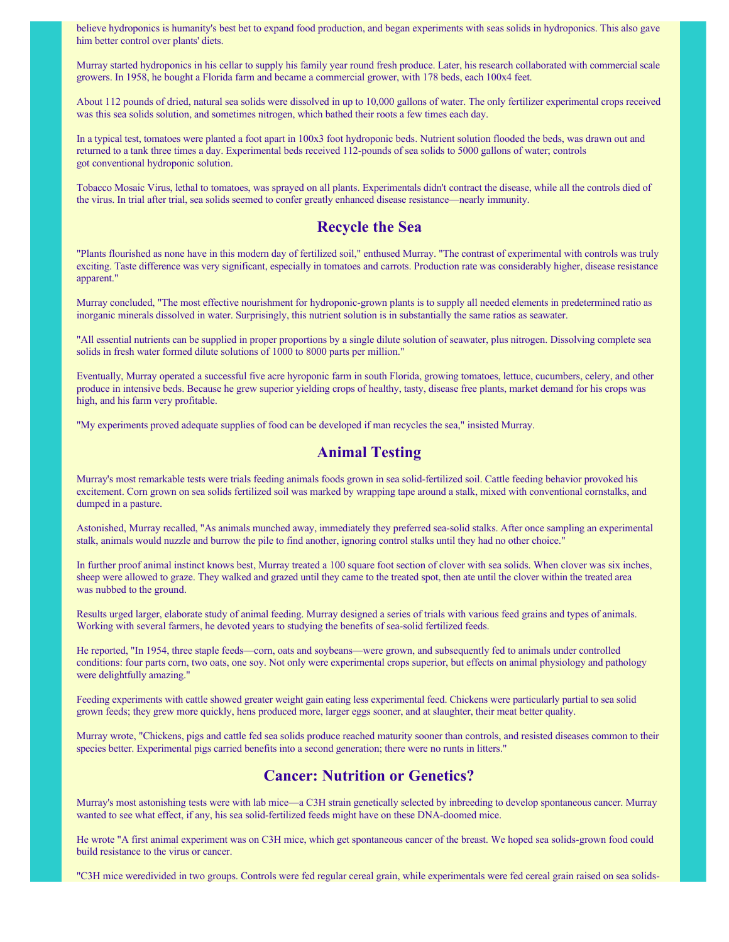believe hydroponics is humanity's best bet to expand food production, and began experiments with seas solids in hydroponics. This also gave him better control over plants' diets.

Murray started hydroponics in his cellar to supply his family year round fresh produce. Later, his research collaborated with commercial scale growers. In 1958, he bought a Florida farm and became a commercial grower, with 178 beds, each 100x4 feet.

About 112 pounds of dried, natural sea solids were dissolved in up to 10,000 gallons of water. The only fertilizer experimental crops received was this sea solids solution, and sometimes nitrogen, which bathed their roots a few times each day.

In a typical test, tomatoes were planted a foot apart in 100x3 foot hydroponic beds. Nutrient solution flooded the beds, was drawn out and returned to a tank three times a day. Experimental beds received 112-pounds of sea solids to 5000 gallons of water; controls got conventional hydroponic solution.

Tobacco Mosaic Virus, lethal to tomatoes, was sprayed on all plants. Experimentals didn't contract the disease, while all the controls died of the virus. In trial after trial, sea solids seemed to confer greatly enhanced disease resistance—nearly immunity.

#### **Recycle the Sea**

"Plants flourished as none have in this modern day of fertilized soil," enthused Murray. "The contrast of experimental with controls was truly exciting. Taste difference was very significant, especially in tomatoes and carrots. Production rate was considerably higher, disease resistance apparent."

Murray concluded, "The most effective nourishment for hydroponic-grown plants is to supply all needed elements in predetermined ratio as inorganic minerals dissolved in water. Surprisingly, this nutrient solution is in substantially the same ratios as seawater.

"All essential nutrients can be supplied in proper proportions by a single dilute solution of seawater, plus nitrogen. Dissolving complete sea solids in fresh water formed dilute solutions of 1000 to 8000 parts per million."

Eventually, Murray operated a successful five acre hyroponic farm in south Florida, growing tomatoes, lettuce, cucumbers, celery, and other produce in intensive beds. Because he grew superior yielding crops of healthy, tasty, disease free plants, market demand for his crops was high, and his farm very profitable.

"My experiments proved adequate supplies of food can be developed if man recycles the sea," insisted Murray.

#### **Animal Testing**

Murray's most remarkable tests were trials feeding animals foods grown in sea solid-fertilized soil. Cattle feeding behavior provoked his excitement. Corn grown on sea solids fertilized soil was marked by wrapping tape around a stalk, mixed with conventional cornstalks, and dumped in a pasture.

Astonished, Murray recalled, "As animals munched away, immediately they preferred sea-solid stalks. After once sampling an experimental stalk, animals would nuzzle and burrow the pile to find another, ignoring control stalks until they had no other choice."

In further proof animal instinct knows best, Murray treated a 100 square foot section of clover with sea solids. When clover was six inches, sheep were allowed to graze. They walked and grazed until they came to the treated spot, then ate until the clover within the treated area was nubbed to the ground.

Results urged larger, elaborate study of animal feeding. Murray designed a series of trials with various feed grains and types of animals. Working with several farmers, he devoted years to studying the benefits of sea-solid fertilized feeds.

He reported, "In 1954, three staple feeds—corn, oats and soybeans—were grown, and subsequently fed to animals under controlled conditions: four parts corn, two oats, one soy. Not only were experimental crops superior, but effects on animal physiology and pathology were delightfully amazing."

Feeding experiments with cattle showed greater weight gain eating less experimental feed. Chickens were particularly partial to sea solid grown feeds; they grew more quickly, hens produced more, larger eggs sooner, and at slaughter, their meat better quality.

Murray wrote, "Chickens, pigs and cattle fed sea solids produce reached maturity sooner than controls, and resisted diseases common to their species better. Experimental pigs carried benefits into a second generation; there were no runts in litters."

## **Cancer: Nutrition or Genetics?**

Murray's most astonishing tests were with lab mice—a C3H strain genetically selected by inbreeding to develop spontaneous cancer. Murray wanted to see what effect, if any, his sea solid-fertilized feeds might have on these DNA-doomed mice.

He wrote "A first animal experiment was on C3H mice, which get spontaneous cancer of the breast. We hoped sea solids-grown food could build resistance to the virus or cancer.

"C3H mice weredivided in two groups. Controls were fed regular cereal grain, while experimentals were fed cereal grain raised on sea solids-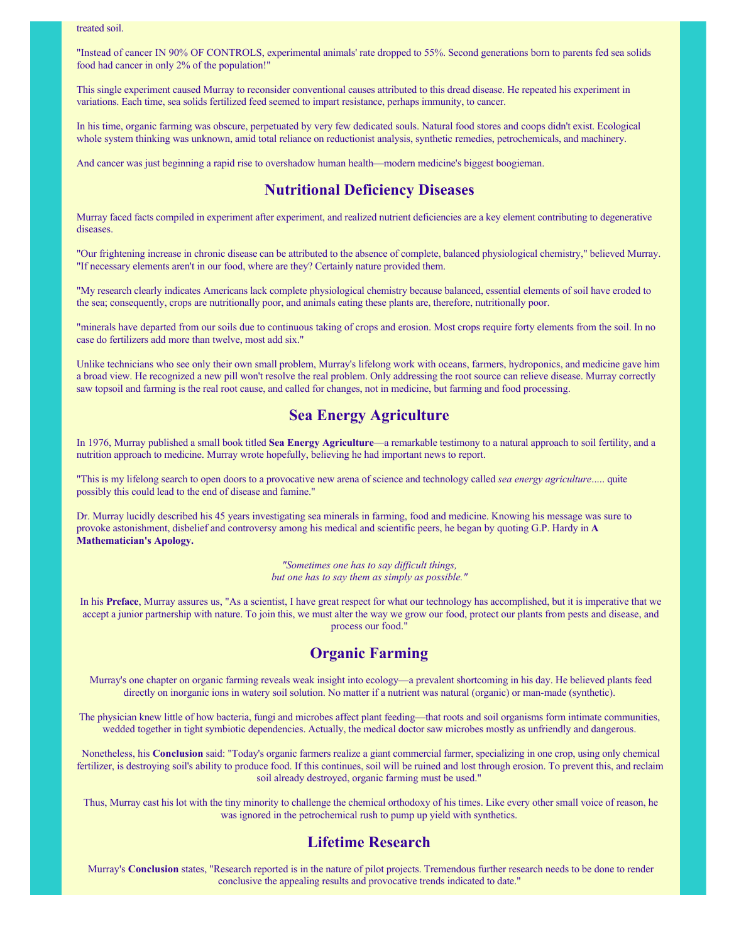treated soil.

"Instead of cancer IN 90% OF CONTROLS, experimental animals' rate dropped to 55%. Second generations born to parents fed sea solids food had cancer in only 2% of the population!"

This single experiment caused Murray to reconsider conventional causes attributed to this dread disease. He repeated his experiment in variations. Each time, sea solids fertilized feed seemed to impart resistance, perhaps immunity, to cancer.

In his time, organic farming was obscure, perpetuated by very few dedicated souls. Natural food stores and coops didn't exist. Ecological whole system thinking was unknown, amid total reliance on reductionist analysis, synthetic remedies, petrochemicals, and machinery.

And cancer was just beginning a rapid rise to overshadow human health—modern medicine's biggest boogieman.

### **Nutritional Deficiency Diseases**

Murray faced facts compiled in experiment after experiment, and realized nutrient deficiencies are a key element contributing to degenerative diseases.

"Our frightening increase in chronic disease can be attributed to the absence of complete, balanced physiological chemistry," believed Murray. "If necessary elements aren't in our food, where are they? Certainly nature provided them.

"My research clearly indicates Americans lack complete physiological chemistry because balanced, essential elements of soil have eroded to the sea; consequently, crops are nutritionally poor, and animals eating these plants are, therefore, nutritionally poor.

"minerals have departed from our soils due to continuous taking of crops and erosion. Most crops require forty elements from the soil. In no case do fertilizers add more than twelve, most add six."

Unlike technicians who see only their own small problem, Murray's lifelong work with oceans, farmers, hydroponics, and medicine gave him a broad view. He recognized a new pill won't resolve the real problem. Only addressing the root source can relieve disease. Murray correctly saw topsoil and farming is the real root cause, and called for changes, not in medicine, but farming and food processing.

## **Sea Energy Agriculture**

In 1976, Murray published a small book titled Sea Energy Agriculture—a remarkable testimony to a natural approach to soil fertility, and a nutrition approach to medicine. Murray wrote hopefully, believing he had important news to report.

"This is my lifelong search to open doors to a provocative new arena of science and technology called sea energy agriculture..... quite possibly this could lead to the end of disease and famine."

Dr. Murray lucidly described his 45 years investigating sea minerals in farming, food and medicine. Knowing his message was sure to provoke astonishment, disbelief and controversy among his medical and scientific peers, he began by quoting G.P. Hardy in **A Mathematician's Apology.**

> *"Sometimes one has to say difficult things, but one has to say them as simply as possible."*

In his **Preface**, Murray assures us, "As a scientist, I have great respect for what our technology has accomplished, but it is imperative that we accept a junior partnership with nature. To join this, we must alter the way we grow our food, protect our plants from pests and disease, and process our food."

### **Organic Farming**

Murray's one chapter on organic farming reveals weak insight into ecology—a prevalent shortcoming in his day. He believed plants feed directly on inorganic ions in watery soil solution. No matter if a nutrient was natural (organic) or man-made (synthetic).

The physician knew little of how bacteria, fungi and microbes affect plant feeding—that roots and soil organisms form intimate communities, wedded together in tight symbiotic dependencies. Actually, the medical doctor saw microbes mostly as unfriendly and dangerous.

Nonetheless, his **Conclusion** said: "Today's organic farmers realize a giant commercial farmer, specializing in one crop, using only chemical fertilizer, is destroying soil's ability to produce food. If this continues, soil will be ruined and lost through erosion. To prevent this, and reclaim soil already destroyed, organic farming must be used."

Thus, Murray cast his lot with the tiny minority to challenge the chemical orthodoxy of his times. Like every other small voice of reason, he was ignored in the petrochemical rush to pump up yield with synthetics.

### **Lifetime Research**

Murray's Conclusion states, "Research reported is in the nature of pilot projects. Tremendous further research needs to be done to render conclusive the appealing results and provocative trends indicated to date."